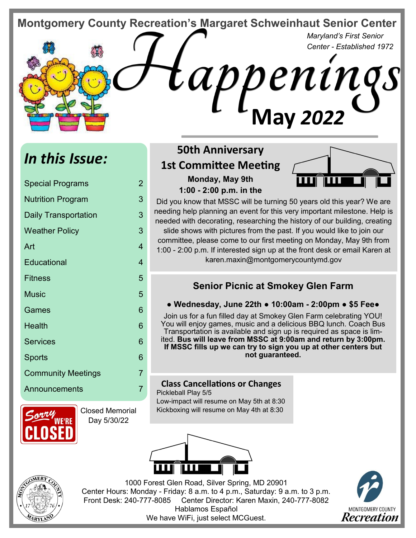**Montgomery County Recreation's Margaret Schweinhaut Senior Center** 

*Maryland's First Senior Center - Established 1972*

# *In this Issue:*

| <b>Special Programs</b>     | 2 |
|-----------------------------|---|
| <b>Nutrition Program</b>    | 3 |
| <b>Daily Transportation</b> | 3 |
| <b>Weather Policy</b>       | 3 |
| Art                         | 4 |
| Educational                 | 4 |
| <b>Fitness</b>              | 5 |
| <b>Music</b>                | 5 |
| Games                       | 6 |
| Health                      | 6 |
| <b>Services</b>             | 6 |
| <b>Sports</b>               | 6 |
| <b>Community Meetings</b>   | 7 |
| Announcements               | 7 |



Closed Memorial Day 5/30/22

# **50th Anniversary 1st Committee Meeting Monday, May 9th**

**1:00 - 2:00 p.m. in the** 



Did you know that MSSC will be turning 50 years old this year? We are needing help planning an event for this very important milestone. Help is needed with decorating, researching the history of our building, creating slide shows with pictures from the past. If you would like to join our committee, please come to our first meeting on Monday, May 9th from 1:00 - 2:00 p.m. If interested sign up at the front desk or email Karen at karen.maxin@montgomerycountymd.gov

**May** *2022* 

# **Senior Picnic at Smokey Glen Farm**

#### **● Wednesday, June 22th ● 10:00am - 2:00pm ● \$5 Fee●**

Join us for a fun filled day at Smokey Glen Farm celebrating YOU! You will enjoy games, music and a delicious BBQ lunch. Coach Bus Transportation is available and sign up is required as space is limited. **Bus will leave from MSSC at 9:00am and return by 3:00pm. If MSSC fills up we can try to sign you up at other centers but not guaranteed.** 

## **Class Cancellations or Changes**

Pickleball Play 5/5 Low-impact will resume on May 5th at 8:30 Kickboxing will resume on May 4th at 8:30





1000 Forest Glen Road, Silver Spring, MD 20901 Center Hours: Monday - Friday: 8 a.m. to 4 p.m., Saturday: 9 a.m. to 3 p.m. Front Desk: 240-777-8085 Center Director: Karen Maxin, 240-777-8082 Hablamos Español We have WiFi, just select MCGuest.

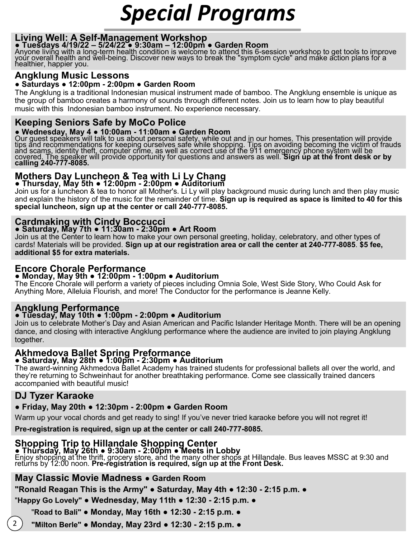# *Special Programs*

## **Living Well: A Self-Management Workshop**

#### **● Tuesdays 4/19/22 – 5/24/22 ● 9:30am – 12:00pm ● Garden Room**

Anyone living with a long-term health condition is welcome to attend this 6-session workshop to get tools to improve yoúr overall health and well-being. Discover new ways to break the "symptom cycle" and make action plans for a healthier, happier you.

#### **Angklung Music Lessons**

#### **● Saturdays ● 12:00pm - 2:00pm ● Garden Room**

The Angklung is a traditional Indonesian musical instrument made of bamboo. The Angklung ensemble is unique as the group of bamboo creates a harmony of sounds through different notes. Join us to learn how to play beautiful music with this Indonesian bamboo instrument. No experience necessary.

## **Keeping Seniors Safe by MoCo Police**

#### **● Wednesday, May 4 ● 10:00am - 11:00am ● Garden Room**

Our guest speakers will talk to us about personal safety, while out and in our homes. This presentation will provide tips and recommendations for keeping ourselves safe while shopping. Tips on avoiding becoming the victim of frauds and scam<u>s,</u> identity theft, computer crime, as well as correct use of the 911 emergency phone system will be covered. The speaker will provide opportunity for questions and answers as well. **Sign up at the front desk or by calling 240-777-8085.**

#### **Mothers Day Luncheon & Tea with Li Ly Chang ● Thursday, May 5th ● 12:00pm - 2:00pm ● Auditorium**

Join us for a luncheon & tea to honor all Mother's. Li Ly will play background music during lunch and then play music and explain the history of the music for the remainder of time. **Sign up is required as space is limited to 40 for this special luncheon, sign up at the center or call 240-777-8085.**

### **Cardmaking with Cindy Boccucci**

#### **● Saturday, May 7th ● 11:30am - 2:30pm ● Art Room**

Join us at the Center to learn how to make your own personal greeting, holiday, celebratory, and other types of cards! Materials will be provided. **Sign up at our registration area or call the center at 240-777-8085**. **\$5 fee, additional \$5 for extra materials.**

# **Encore Chorale Performance**

#### **● Monday, May 9th ● 12:00pm - 1:00pm ● Auditorium**

The Encore Chorale will perform a variety of pieces including Omnia Sole, West Side Story, Who Could Ask for Anything More, Alleluia Flourish, and more! The Conductor for the performance is Jeanne Kelly.

# **Angklung Performance**

#### **● Tuesday, May 10th ● 1:00pm - 2:00pm ● Auditorium**

Join us to celebrate Mother's Day and Asian American and Pacific Islander Heritage Month. There will be an opening dance, and closing with interactive Angklung performance where the audience are invited to join playing Angklung together.

## **Akhmedova Ballet Spring Preformance**

#### **● Saturday, May 28th ● 1:00pm - 2:30pm ● Auditorium**

The award-winning Akhmedova Ballet Academy has trained students for professional ballets all over the world, and they're returning to Schweinhaut for another breathtaking performance. Come see classically trained dancers accompanied with beautiful music!

## **DJ Tyzer Karaoke**

2

#### **● Friday, May 20th ● 12:30pm - 2:00pm ● Garden Room**

Warm up your vocal chords and get ready to sing! If you've never tried karaoke before you will not regret it!

**Pre-registration is required, sign up at the center or call 240-777-8085.** 

#### **Shopping Trip to Hillandale Shopping Center**

#### **● Thursday, May 26th ● 9:30am - 2:00pm ● Meets in Lobby**

Enjoy shopping at the thrift, grocery store, and the many other shops at Hillandale. Bus leaves MSSC at 9:30 and returns by 12:00 noon. **Pre-registration is required, sign up at the Front Desk.** 

#### **May Classic Movie Madness ● Garden Room**

**"Ronald Reagan This is the Army" ● Saturday, May 4th ● 12:30 - 2:15 p.m. ●** 

"**Happy Go Lovely" ● Wednesday, May 11th ● 12:30 - 2:15 p.m. ●** 

"**Road to Bali" ● Monday, May 16th ● 12:30 - 2:15 p.m. ●** 

 **"Milton Berle" ● Monday, May 23rd ● 12:30 - 2:15 p.m. ●**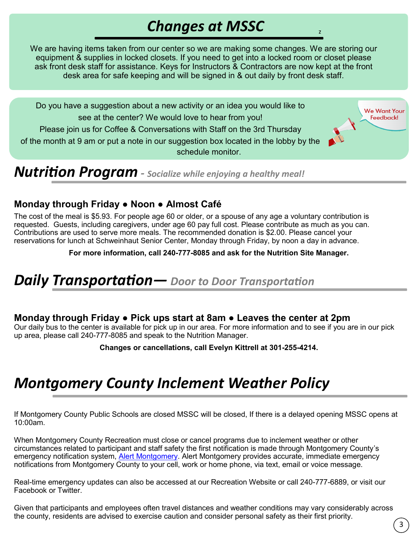# *Changes at MSSC*

z

Feedback!

We are having items taken from our center so we are making some changes. We are storing our equipment & supplies in locked closets. If you need to get into a locked room or closet please ask front desk staff for assistance. Keys for Instructors & Contractors are now kept at the front desk area for safe keeping and will be signed in & out daily by front desk staff.

Do you have a suggestion about a new activity or an idea you would like to **We Want Your** see at the center? We would love to hear from you! Please join us for Coffee & Conversations with Staff on the 3rd Thursday of the month at 9 am or put a note in our suggestion box located in the lobby by the schedule monitor.

*Nutrition Program - Socialize while enjoying a healthy meal!*

# **Monday through Friday ● Noon ● Almost Café**

The cost of the meal is \$5.93. For people age 60 or older, or a spouse of any age a voluntary contribution is requested. Guests, including caregivers, under age 60 pay full cost. Please contribute as much as you can. Contributions are used to serve more meals. The recommended donation is \$2.00. Please cancel your reservations for lunch at Schweinhaut Senior Center, Monday through Friday, by noon a day in advance.

**For more information, call 240-777-8085 and ask for the Nutrition Site Manager.**

# *Daily Transportation— Door to Door Transportation*

# **Monday through Friday ● Pick ups start at 8am ● Leaves the center at 2pm**

Our daily bus to the center is available for pick up in our area. For more information and to see if you are in our pick up area, please call 240-777-8085 and speak to the Nutrition Manager.

**Changes or cancellations, call Evelyn Kittrell at 301-255-4214.**

# *Montgomery County Inclement Weather Policy*

If Montgomery County Public Schools are closed MSSC will be closed, If there is a delayed opening MSSC opens at 10:00am.

When Montgomery County Recreation must close or cancel programs due to inclement weather or other circumstances related to participant and staff safety the first notification is made through Montgomery County's emergency notification system, [Alert Montgomery.](https://member.everbridge.net/index/1332612387832009#/login) Alert Montgomery provides accurate, immediate emergency notifications from Montgomery County to your cell, work or home phone, via text, email or voice message.

Real-time emergency updates can also be accessed at our Recreation Website or call 240-777-6889, or visit our Facebook or Twitter.

Given that participants and employees often travel distances and weather conditions may vary considerably across the county, residents are advised to exercise caution and consider personal safety as their first priority.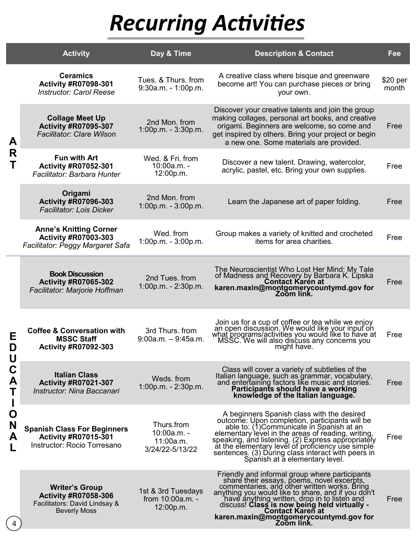# *Recurring Activities*

|                                      | <b>Activity</b>                                                                                              | Day & Time                                                | <b>Description &amp; Contact</b>                                                                                                                                                                                                                                                                                                                                                                  | Fee               |
|--------------------------------------|--------------------------------------------------------------------------------------------------------------|-----------------------------------------------------------|---------------------------------------------------------------------------------------------------------------------------------------------------------------------------------------------------------------------------------------------------------------------------------------------------------------------------------------------------------------------------------------------------|-------------------|
| A<br>R<br>Τ                          | <b>Ceramics</b><br><b>Activity #R07098-301</b><br><b>Instructor: Carol Reese</b>                             | Tues. & Thurs. from<br>$9:30a.m. - 1:00p.m.$              | A creative class where bisque and greenware<br>become art! You can purchase pieces or bring<br>your own.                                                                                                                                                                                                                                                                                          | \$20 per<br>month |
|                                      | <b>Collage Meet Up</b><br><b>Activity #R07095-307</b><br><b>Facilitator: Clare Wilson</b>                    | 2nd Mon. from<br>$1:00p.m. - 3:30p.m.$                    | Discover your creative talents and join the group<br>making collages, personal art books, and creative<br>origami. Beginners are welcome, so come and<br>get inspired by others. Bring your project or begin<br>a new one. Some materials are provided.                                                                                                                                           | Free              |
|                                      | <b>Fun with Art</b><br><b>Activity #R07052-301</b><br>Facilitator: Barbara Hunter                            | Wed. & Fri. from<br>10:00a.m. -<br>12:00p.m.              | Discover a new talent. Drawing, watercolor,<br>acrylic, pastel, etc. Bring your own supplies.                                                                                                                                                                                                                                                                                                     | Free              |
|                                      | Origami<br><b>Activity #R07096-303</b><br><b>Facilitator: Lois Dicker</b>                                    | 2nd Mon. from<br>$1:00p.m. - 3:00p.m.$                    | Learn the Japanese art of paper folding.                                                                                                                                                                                                                                                                                                                                                          | Free              |
|                                      | <b>Anne's Knitting Corner</b><br><b>Activity #R07003-303</b><br><b>Facilitator: Peggy Margaret Safa</b>      | Wed. from<br>$1:00p.m. - 3:00p.m.$                        | Group makes a variety of knitted and crocheted<br>items for area charities.                                                                                                                                                                                                                                                                                                                       | Free              |
| Е<br>D<br>U<br>C<br>A<br>Ő<br>N<br>А | <b>Book Discussion</b><br><b>Activity #R07065-302</b><br>Facilitator: Marjorie Hoffman                       | 2nd Tues, from<br>1:00p.m. - 2:30p.m.                     | The Neuroscientist Who Lost Her Mind: My Tale<br>of Madness and Recovery by Barbara K. Lipska<br>karen.maxin@montgomerycountymd.gov for<br>Zoom link.                                                                                                                                                                                                                                             | Free              |
|                                      | <b>Coffee &amp; Conversation with</b><br><b>MSSC Staff</b><br><b>Activity #R07092-303</b>                    | 3rd Thurs, from<br>$9:00a.m. - 9:45a.m.$                  | Join us for a cup of coffee or tea while we enjoy<br>an open discussion. We would like your input on<br>what programs/activities you would like to have at<br>MSSC. We will also discuss any concerns you<br>might have.                                                                                                                                                                          | Free              |
|                                      | <b>Italian Class</b><br><b>Activity #R07021-307</b><br>Instructor: Nina Baccanari                            | Weds. from<br>$1:00p.m. - 2:30p.m.$                       | Class will cover a variety of subtleties of the<br>Italian language, such as grammar, vocabulary,<br>and entertaining factors like music and stories.<br>Participants should have a working<br>knowledge of the Italian language.                                                                                                                                                                 | Free              |
|                                      | <b>Spanish Class For Beginners</b><br><b>Activity #R07015-301</b><br>Instructor: Rocio Torresano             | Thurs.from<br>10:00a.m. -<br>11:00a.m.<br>3/24/22-5/13/22 | A beginners Spanish class with the desired<br>outcome: Upon completion, participants will be<br>able to: (1)Communicate in Spanish at an<br>elementary level in the areas of reading, writing,<br>speaking, and listening. (2) Express appropriately<br>at the elementary level of proficiency use simple<br>sentences. (3) During class interact with peers in<br>Spanish at a elementary level. | Free              |
|                                      | <b>Writer's Group</b><br><b>Activity #R07058-306</b><br>Facilitators: David Lindsay &<br><b>Beverly Moss</b> | 1st & 3rd Tuesdays<br>from 10:00a.m. -<br>12:00p.m.       | Friendly and informal group where participants<br>share their essays, poems, novel excerpts,<br>commentaries, and other written works. Bring<br>anything you would like to share, and if you don't<br>have anything written, drop in to listen and<br>discuss! Class is now being held virtually -<br><b>Contact Karen at</b><br>karen.maxin@montgomerycountymd.gov for<br>Zoom link.             | Free              |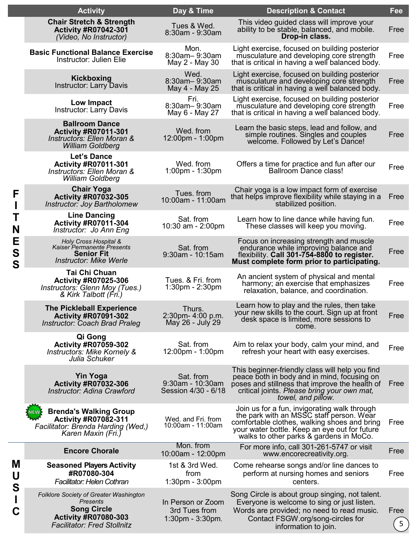|  | <b>Activity</b>                                                                                                                               | Day & Time                                                   | <b>Description &amp; Contact</b>                                                                                                                                                                                                     | Fee                    |
|--|-----------------------------------------------------------------------------------------------------------------------------------------------|--------------------------------------------------------------|--------------------------------------------------------------------------------------------------------------------------------------------------------------------------------------------------------------------------------------|------------------------|
|  | <b>Chair Stretch &amp; Strength</b><br><b>Activity #R07042-301</b><br>(Video, No Instructor)                                                  | Tues & Wed.<br>8:30am - 9:30am                               | This video guided class will improve your<br>ability to be stable, balanced, and mobile.<br>Drop-in class.                                                                                                                           | Free                   |
|  | <b>Basic Functional Balance Exercise</b><br>Instructor: Julien Elie                                                                           | Mon.<br>8:30am-9:30am<br>May 2 - May 30                      | Light exercise, focused on building posterior<br>musculature and developing core strength<br>that is critical in having a well balanced body.                                                                                        | Free                   |
|  | Kickboxing<br><b>Instructor: Larry Davis</b>                                                                                                  | Wed.<br>8:30am-9:30am<br>May 4 - May 25                      | Light exercise, focused on building posterior<br>musculature and developing core strength<br>that is critical in having a well balanced body.                                                                                        | Free                   |
|  | Low Impact<br><b>Instructor: Larry Davis</b>                                                                                                  | Fri.<br>8:30am-9:30am<br>May 6 - May 27                      | Light exercise, focused on building posterior<br>musculature and developing core strength<br>that is critical in having a well balanced body.                                                                                        | Free                   |
|  | <b>Ballroom Dance</b><br><b>Activity #R07011-301</b><br><b>Instructors: Ellen Moran &amp;</b><br><b>William Goldberg</b>                      | Wed. from<br>12:00pm - 1:00pm                                | Learn the basic steps, lead and follow, and<br>simple routines. Singles and couples<br>welcome. Followed by Let's Dance!                                                                                                             | Free                   |
|  | <b>Let's Dance</b><br>Activity #R07011-301<br>Instructors: Ellen Moran &<br><b>William Goldberg</b>                                           | Wed. from<br>$1:00$ pm - $1:30$ pm                           | Offers a time for practice and fun after our<br><b>Ballroom Dance class!</b>                                                                                                                                                         | Free                   |
|  | <b>Chair Yoga</b><br><b>Activity #R07032-305</b><br>Instructor: Joy Bartholomew                                                               | Tues. from<br>10:00am - 11:00am                              | Chair yoga is a low impact form of exercise<br>that helps improve flexibility while staying in a<br>stabilized position.                                                                                                             | Free                   |
|  | <b>Line Dancing</b><br><b>Activity #R07011-304</b><br>Instructor: Jo Ann Eng                                                                  | Sat. from<br>10:30 am - $2:00 \text{pm}$                     | Learn how to line dance while having fun.<br>These classes will keep you moving.                                                                                                                                                     | Free                   |
|  | Holy Cross Hospital &<br>Kaiser Permanente Presents<br><b>Senior Fit</b><br><b>Instructor: Mike Werle</b>                                     | Sat. from<br>$9:30$ am - 10:15am                             | Focus on increasing strength and muscle<br>endurance while improving balance and<br>flexibility. Call 301-754-8800 to register.<br>Must complete form prior to participating.                                                        | Free                   |
|  | Tai Chi Chuan<br><b>Activity #R07025-306</b><br>Instructors: Glenn Moy (Tues.)<br>& Kirk Talbott (Fri.)                                       | Tues. & Fri. from<br>$1:30$ pm - $2:30$ pm                   | An ancient system of physical and mental<br>harmony; an exercise that emphasizes<br>relaxation, balance, and coordination.                                                                                                           | Free                   |
|  | <b>The Pickleball Experience</b><br><b>Activity #R07091-302</b><br><b>Instructor: Coach Brad Praleg</b>                                       | Thurs.<br>2:30pm- 4:00 p.m.<br>May 26 - July 29              | Learn how to play and the rules, then take<br>your new skills to the court. Sign up at front<br>desk space is limited, more sessions to<br>come.                                                                                     | Free                   |
|  | Qi Gong<br><b>Activity #R07059-302</b><br>Instructors: Mike Kornely &<br>Julia Schuker                                                        | Sat. from<br>12:00pm - 1:00pm                                | Aim to relax your body, calm your mind, and<br>refresh your heart with easy exercises.                                                                                                                                               | Free                   |
|  | <b>Yin Yoga</b><br><b>Activity #R07032-306</b><br>Instructor: Adina Crawford                                                                  | Sat. from<br>$9:30$ am - 10:30am<br>Session 4/30 - 6/18      | This beginner-friendly class will help you find<br>peace both in body and in mind, focusing on<br>poses and stillness that improve the health of<br>critical joints. <i>Please bring your own mat,</i><br>towel, and pillow.         | Free                   |
|  | <b>Brenda's Walking Group</b><br><b>Activity #R07082-311</b><br>Facilitator: Brenda Harding (Wed,)<br>Karen Maxin (Fri.)                      | Wed. and Fri. from<br>10:00am - 11:00am                      | Join us for a fun, invigorating walk through<br>the park with an MSSC staff person. Wear<br>comfortable clothes, walking shoes and bring<br>your water bottle. Keep an eye out for future<br>walks to other parks & gardens in MoCo. | Free                   |
|  | <b>Encore Chorale</b>                                                                                                                         | Mon. from<br>10:00am - 12:00pm                               | For more info, call 301-261-5747 or visit<br>www.encorecreativity.org.                                                                                                                                                               | Free                   |
|  | <b>Seasoned Players Activity</b><br>#R07080-304<br><b>Facilitator: Helen Cothran</b>                                                          | 1st & 3rd Wed.<br>from<br>1:30pm - 3:00pm                    | Come rehearse songs and/or line dances to<br>perform at nursing homes and seniors<br>centers.                                                                                                                                        | Free                   |
|  | Folklore Society of Greater Washington<br>Presents<br><b>Song Circle</b><br><b>Activity #R07080-303</b><br><b>Facilitator: Fred Stollnitz</b> | In Person or Zoom<br>3rd Tues from<br>$1:30$ pm - $3:30$ pm. | Song Circle is about group singing, not talent.<br>Everyone is welcome to sing or just listen.<br>Words are provided; no need to read music.<br>Contact FSGW.org/song-circles for<br>information to join.                            | Free<br>5 <sup>2</sup> |

**M U S I C**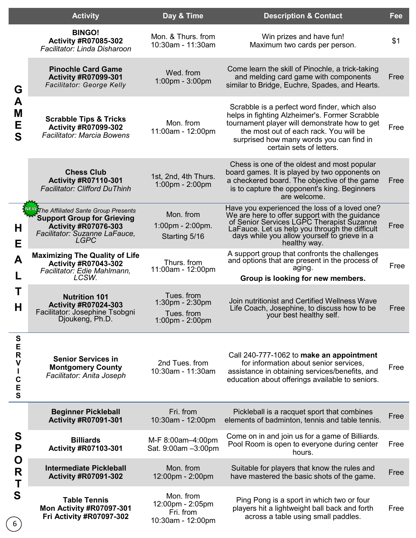|                  | <b>Activity</b>                                                                                                                                                   | Day & Time                                                      | <b>Description &amp; Contact</b>                                                                                                                                                                                                                                   | Fee  |
|------------------|-------------------------------------------------------------------------------------------------------------------------------------------------------------------|-----------------------------------------------------------------|--------------------------------------------------------------------------------------------------------------------------------------------------------------------------------------------------------------------------------------------------------------------|------|
|                  | <b>BINGO!</b><br><b>Activity #R07085-302</b><br>Facilitator: Linda Disharoon                                                                                      | Mon. & Thurs. from<br>10:30am - 11:30am                         | Win prizes and have fun!<br>Maximum two cards per person.                                                                                                                                                                                                          | \$1  |
| G                | <b>Pinochle Card Game</b><br><b>Activity #R07099-301</b><br><b>Facilitator: George Kelly</b>                                                                      | Wed. from<br>1:00pm - 3:00pm                                    | Come learn the skill of Pinochle, a trick-taking<br>and melding card game with components<br>similar to Bridge, Euchre, Spades, and Hearts.                                                                                                                        | Free |
| A<br>M<br>Е<br>S | <b>Scrabble Tips &amp; Tricks</b><br><b>Activity #R07099-302</b><br><b>Facilitator: Marcia Bowens</b>                                                             | Mon. from<br>11:00am - 12:00pm                                  | Scrabble is a perfect word finder, which also<br>helps in fighting Alzheimer's. Former Scrabble<br>tournament player will demonstrate how to get<br>the most out of each rack. You will be<br>surprised how many words you can find in<br>certain sets of letters. | Free |
|                  | <b>Chess Club</b><br><b>Activity #R07110-301</b><br><b>Facilitator: Clifford DuThinh</b>                                                                          | 1st, 2nd, 4th Thurs.<br>1:00pm - 2:00pm                         | Chess is one of the oldest and most popular<br>board games. It is played by two opponents on<br>a checkered board. The objective of the game<br>is to capture the opponent's king. Beginners<br>are welcome.                                                       | Free |
| Н<br>Е           | <b>EW</b> The Affiliated Sante Group Presents<br><b>Support Group for Grieving</b><br><b>Activity #R07076-303</b><br>Facilitator: Suzanne LaFauce,<br><b>LGPC</b> | Mon. from<br>$1:00$ pm - $2:00$ pm.<br>Starting 5/16            | Have you experienced the loss of a loved one?<br>We are here to offer support with the guidance<br>of Senior Services LGPC Therapist Suzanne<br>LaFauce. Let us help you through the difficult<br>days while you allow yourself to grieve in a<br>healthy way.     | Free |
| A                | <b>Maximizing The Quality of Life</b><br><b>Activity #R07043-302</b><br>Facilitator: Edie Mahlmann,<br>LCSW.                                                      | Thurs. from<br>11:00am - 12:00pm                                | A support group that confronts the challenges<br>and options that are present in the process of<br>aging.<br>Group is looking for new members.                                                                                                                     | Free |
| Т<br>Н           | <b>Nutrition 101</b><br><b>Activity #R07024-303</b><br>Facilitator: Josephine Tsobgni<br>Djoukeng, Ph.D.                                                          | Tues. from<br>1:30pm - 2:30pm<br>Tues. from<br>1:00pm - 2:00pm  | Join nutritionist and Certified Wellness Wave<br>Life Coach, Josephine, to discuss how to be<br>your best healthy self.                                                                                                                                            | Free |
| <b>SERVICES</b>  | <b>Senior Services in</b><br><b>Montgomery County</b><br>Facilitator: Anita Joseph                                                                                | 2nd Tues. from<br>10:30am - 11:30am                             | Call 240-777-1062 to make an appointment<br>for information about senior services,<br>assistance in obtaining services/benefits, and<br>education about offerings available to seniors.                                                                            | Free |
|                  | <b>Beginner Pickleball</b><br><b>Activity #R07091-301</b>                                                                                                         | Fri. from<br>10:30am - 12:00pm                                  | Pickleball is a racquet sport that combines<br>elements of badminton, tennis and table tennis.                                                                                                                                                                     | Free |
| S<br>P           | <b>Billiards</b><br><b>Activity #R07103-301</b>                                                                                                                   | M-F 8:00am-4:00pm<br>Sat. 9:00am -3:00pm                        | Come on in and join us for a game of Billiards.<br>Pool Room is open to everyone during center<br>hours.                                                                                                                                                           | Free |
| O<br>R<br>T      | <b>Intermediate Pickleball</b><br><b>Activity #R07091-302</b>                                                                                                     | Mon. from<br>12:00pm - 2:00pm                                   | Suitable for players that know the rules and<br>have mastered the basic shots of the game.                                                                                                                                                                         | Free |
| S                | <b>Table Tennis</b><br>Mon Activity #R07097-301<br><b>Fri Activity #R07097-302</b>                                                                                | Mon. from<br>12:00pm - 2:05pm<br>Fri. from<br>10:30am - 12:00pm | Ping Pong is a sport in which two or four<br>players hit a lightweight ball back and forth<br>across a table using small paddles.                                                                                                                                  | Free |